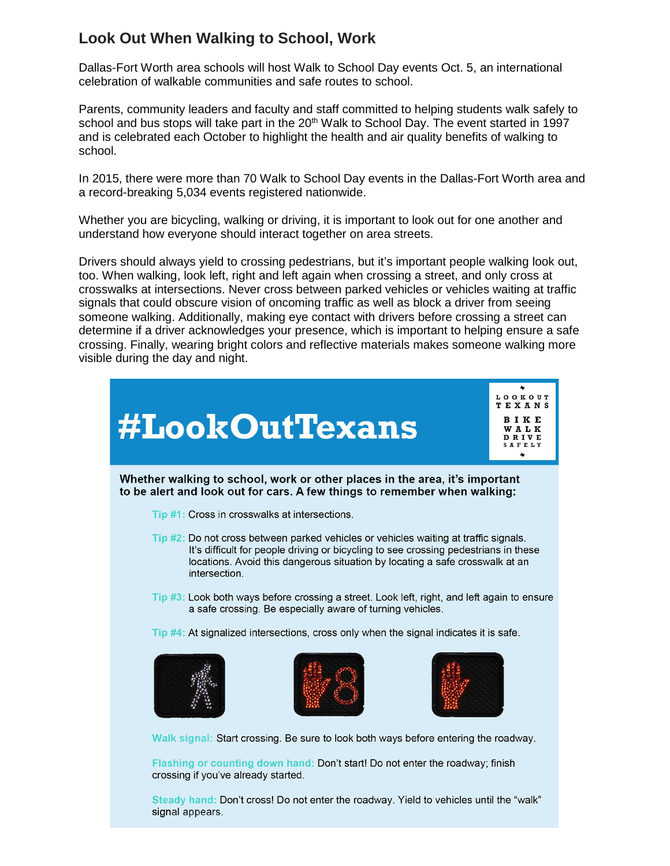## **Look Out When Walking to School, Work**

Dallas-Fort Worth area schools will host Walk to School Day events Oct. 5, an international celebration of walkable communities and safe routes to school.

Parents, community leaders and faculty and staff committed to helping students walk safely to school and bus stops will take part in the  $20<sup>th</sup>$  Walk to School Day. The event started in 1997 and is celebrated each October to highlight the health and air quality benefits of walking to school.

In 2015, there were more than 70 Walk to School Day events in the Dallas-Fort Worth area and a record-breaking 5,034 events registered nationwide.

Whether you are bicycling, walking or driving, it is important to look out for one another and understand how everyone should interact together on area streets.

Drivers should always yield to crossing pedestrians, but it's important people walking look out, too. When walking, look left, right and left again when crossing a street, and only cross at crosswalks at intersections. Never cross between parked vehicles or vehicles waiting at traffic signals that could obscure vision of oncoming traffic as well as block a driver from seeing someone walking. Additionally, making eye contact with drivers before crossing a street can determine if a driver acknowledges your presence, which is important to helping ensure a safe crossing. Finally, wearing bright colors and reflective materials makes someone walking more visible during the day and night.